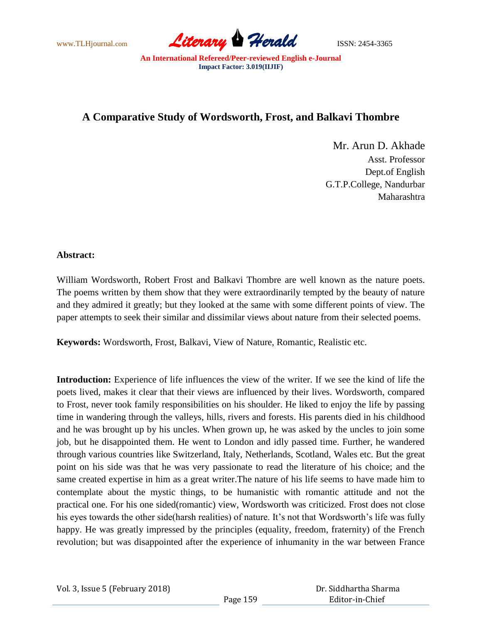

## **A Comparative Study of Wordsworth, Frost, and Balkavi Thombre**

Mr. Arun D. Akhade Asst. Professor Dept.of English G.T.P.College, Nandurbar Maharashtra

### **Abstract:**

William Wordsworth, Robert Frost and Balkavi Thombre are well known as the nature poets. The poems written by them show that they were extraordinarily tempted by the beauty of nature and they admired it greatly; but they looked at the same with some different points of view. The paper attempts to seek their similar and dissimilar views about nature from their selected poems.

**Keywords:** Wordsworth, Frost, Balkavi, View of Nature, Romantic, Realistic etc.

**Introduction:** Experience of life influences the view of the writer. If we see the kind of life the poets lived, makes it clear that their views are influenced by their lives. Wordsworth, compared to Frost, never took family responsibilities on his shoulder. He liked to enjoy the life by passing time in wandering through the valleys, hills, rivers and forests. His parents died in his childhood and he was brought up by his uncles. When grown up, he was asked by the uncles to join some job, but he disappointed them. He went to London and idly passed time. Further, he wandered through various countries like Switzerland, Italy, Netherlands, Scotland, Wales etc. But the great point on his side was that he was very passionate to read the literature of his choice; and the same created expertise in him as a great writer.The nature of his life seems to have made him to contemplate about the mystic things, to be humanistic with romantic attitude and not the practical one. For his one sided(romantic) view, Wordsworth was criticized. Frost does not close his eyes towards the other side(harsh realities) of nature. It's not that Wordsworth's life was fully happy. He was greatly impressed by the principles (equality, freedom, fraternity) of the French revolution; but was disappointed after the experience of inhumanity in the war between France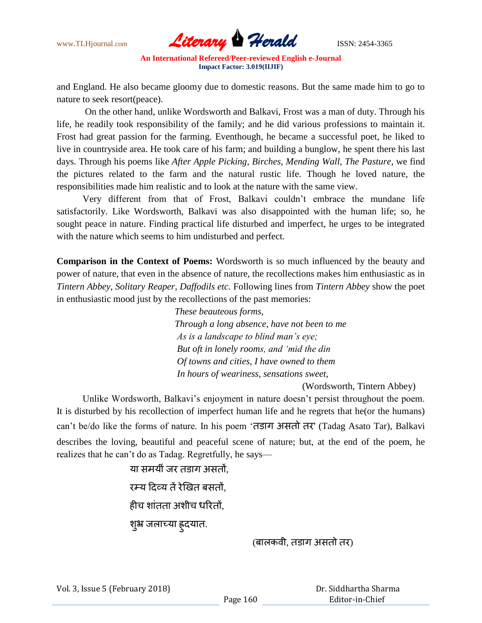

and England. He also became gloomy due to domestic reasons. But the same made him to go to nature to seek resort(peace).

 On the other hand, unlike Wordsworth and Balkavi, Frost was a man of duty. Through his life, he readily took responsibility of the family; and he did various professions to maintain it. Frost had great passion for the farming. Eventhough, he became a successful poet, he liked to live in countryside area. He took care of his farm; and building a bunglow, he spent there his last days. Through his poems like *After Apple Picking, Birches, Mending Wall, The Pasture*, we find the pictures related to the farm and the natural rustic life. Though he loved nature, the responsibilities made him realistic and to look at the nature with the same view.

 Very different from that of Frost, Balkavi couldn't embrace the mundane life satisfactorily. Like Wordsworth, Balkavi was also disappointed with the human life; so, he sought peace in nature. Finding practical life disturbed and imperfect, he urges to be integrated with the nature which seems to him undisturbed and perfect.

**Comparison in the Context of Poems:** Wordsworth is so much influenced by the beauty and power of nature, that even in the absence of nature, the recollections makes him enthusiastic as in *Tintern Abbey, Solitary Reaper, Daffodils etc.* Following lines from *Tintern Abbey* show the poet in enthusiastic mood just by the recollections of the past memories:

> *These beauteous forms, Through a long absence, have not been to me As is a landscape to blind man's eye; But oft in lonely rooms, and 'mid the din Of towns and cities, I have owned to them In hours of weariness, sensations sweet,*

> > (Wordsworth, Tintern Abbey)

 Unlike Wordsworth, Balkavi's enjoyment in nature doesn't persist throughout the poem. It is disturbed by his recollection of imperfect human life and he regrets that he(or the humans) can't be/do like the forms of nature. In his poem 'तडाग अवतो तय' (Tadag Asato Tar), Balkavi describes the loving, beautiful and peaceful scene of nature; but, at the end of the poem, he realizes that he can't do as Tadag. Regretfully, he says—

> या समयीं जर तड़ाग असतों. यम्म ददव्म तेंयेखित फवतों, हीच शांतता अशीच धरितों, श्अ जलाच्या हृदयात.

> > (बालकवी, तडाग असतो तर)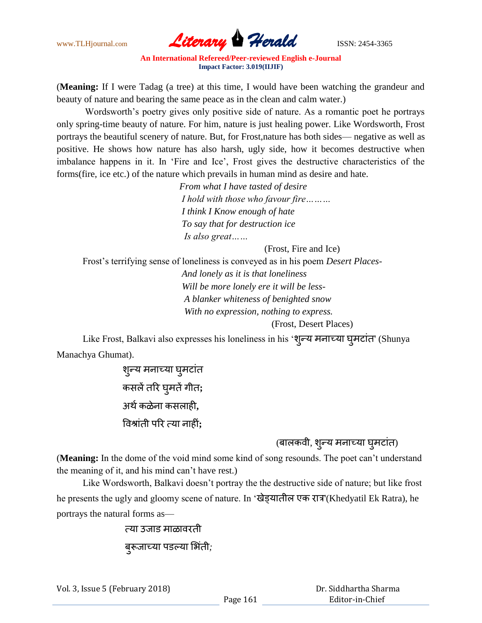

(**Meaning:** If I were Tadag (a tree) at this time, I would have been watching the grandeur and beauty of nature and bearing the same peace as in the clean and calm water.)

 Wordsworth's poetry gives only positive side of nature. As a romantic poet he portrays only spring-time beauty of nature. For him, nature is just healing power. Like Wordsworth, Frost portrays the beautiful scenery of nature. But, for Frost,nature has both sides— negative as well as positive. He shows how nature has also harsh, ugly side, how it becomes destructive when imbalance happens in it. In 'Fire and Ice', Frost gives the destructive characteristics of the forms(fire, ice etc.) of the nature which prevails in human mind as desire and hate.

> *From what I have tasted of desire I hold with those who favour fire……… I think I Know enough of hate To say that for destruction ice Is also great……*

> > (Frost, Fire and Ice)

Frost's terrifying sense of loneliness is conveyed as in his poem *Desert Places-*

 *And lonely as it is that loneliness Will be more lonely ere it will be less- A blanker whiteness of benighted snow With no expression, nothing to express.*

(Frost, Desert Places)

Like Frost, Balkavi also expresses his loneliness in his 'शून्य मनाच्या घुमटात' (Shunya Manachya Ghumat).

> शुन्य मनाच्या घुमटांत कवरेंतरय घुभतेंग त**;** अर्थ कळेना कसलाही**.** विश्रांती परि त्या नाहीं**:**

> > (बालकवी, शुन्य मनाच्या घ्मटांत)

(**Meaning:** In the dome of the void mind some kind of song resounds. The poet can't understand the meaning of it, and his mind can't have rest.)

 Like Wordsworth, Balkavi doesn't portray the the destructive side of nature; but like frost he presents the ugly and gloomy scene of nature. In 'खेड्यातील एक रात्र'(Khedyatil Ek Ratra), he portrays the natural forms as—

> त्या उजाड माळावरती बुरूजाच्या पडल्या भिंती;

Vol. 3, Issue 5 (February 2018)

 Dr. Siddhartha Sharma Editor-in-Chief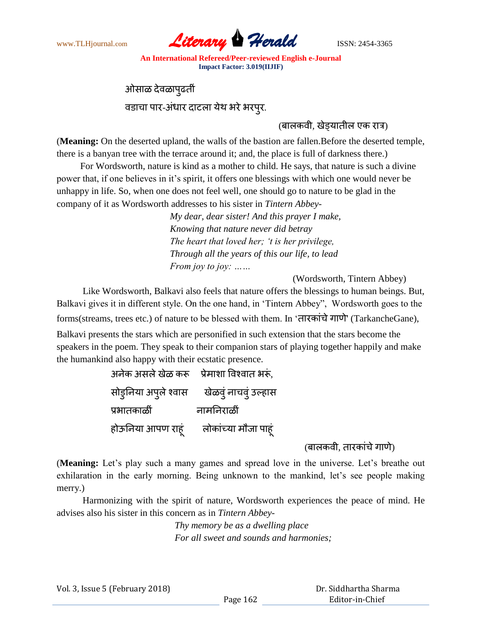

ओसाळ देवळापुढतीं लडाचा ऩाय*-*अींधाय दाटरा मेथ बयेबयऩुय*.*

## (बालकवी, खेडयातील एक रात्र)

(**Meaning:** On the deserted upland, the walls of the bastion are fallen.Before the deserted temple, there is a banyan tree with the terrace around it; and, the place is full of darkness there.)

 For Wordsworth, nature is kind as a mother to child. He says, that nature is such a divine power that, if one believes in it's spirit, it offers one blessings with which one would never be unhappy in life. So, when one does not feel well, one should go to nature to be glad in the company of it as Wordsworth addresses to his sister in *Tintern Abbey-*

> *My dear, dear sister! And this prayer I make, Knowing that nature never did betray The heart that loved her; 't is her privilege, Through all the years of this our life, to lead From joy to joy: ……*

(Wordsworth, Tintern Abbey)

 Like Wordsworth, Balkavi also feels that nature offers the blessings to human beings. But, Balkavi gives it in different style. On the one hand, in 'Tintern Abbey", Wordsworth goes to the forms(streams, trees etc.) of nature to be blessed with them. In 'तारकांचे गाणे' (TarkancheGane),

Balkavi presents the stars which are personified in such extension that the stars become the speakers in the poem. They speak to their companion stars of playing together happily and make the humankind also happy with their ecstatic presence.

> अनेक असले खेळ करू प्रेमाशा विश्वात भरूं, सोडुनिया अपूले श्वास खेळवुं नाचवुं उल्हास प्रभातकाळीं नामनिराळीं होऊनिया आपण राहूं लोकांच्या मौजा पाहूं

> > $($ बालकवी, तारकांचे गाणे)

(**Meaning:** Let's play such a many games and spread love in the universe. Let's breathe out exhilaration in the early morning. Being unknown to the mankind, let's see people making merry.)

 Harmonizing with the spirit of nature, Wordsworth experiences the peace of mind. He advises also his sister in this concern as in *Tintern Abbey-*

> *Thy memory be as a dwelling place For all sweet and sounds and harmonies;*

Vol. 3, Issue 5 (February 2018)

 Dr. Siddhartha Sharma Editor-in-Chief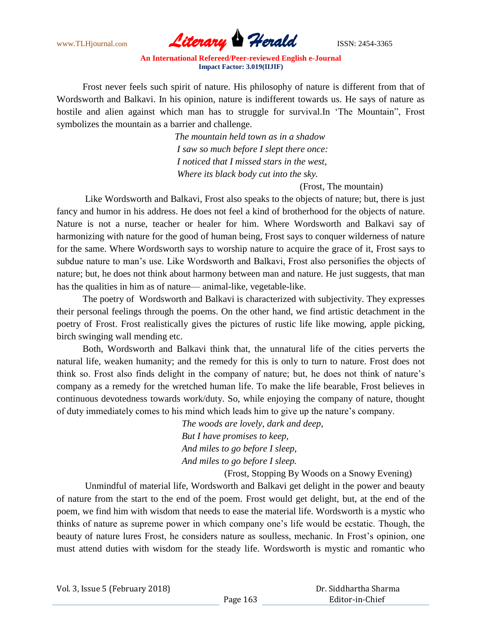

 Frost never feels such spirit of nature. His philosophy of nature is different from that of Wordsworth and Balkavi. In his opinion, nature is indifferent towards us. He says of nature as hostile and alien against which man has to struggle for survival.In 'The Mountain", Frost symbolizes the mountain as a barrier and challenge.

> *The mountain held town as in a shadow I saw so much before I slept there once: I noticed that I missed stars in the west, Where its black body cut into the sky.*

> > (Frost, The mountain)

 Like Wordsworth and Balkavi, Frost also speaks to the objects of nature; but, there is just fancy and humor in his address. He does not feel a kind of brotherhood for the objects of nature. Nature is not a nurse, teacher or healer for him. Where Wordsworth and Balkavi say of harmonizing with nature for the good of human being, Frost says to conquer wilderness of nature for the same. Where Wordsworth says to worship nature to acquire the grace of it, Frost says to subdue nature to man's use. Like Wordsworth and Balkavi, Frost also personifies the objects of nature; but, he does not think about harmony between man and nature. He just suggests, that man has the qualities in him as of nature— animal-like, vegetable-like.

 The poetry of Wordsworth and Balkavi is characterized with subjectivity. They expresses their personal feelings through the poems. On the other hand, we find artistic detachment in the poetry of Frost. Frost realistically gives the pictures of rustic life like mowing, apple picking, birch swinging wall mending etc.

 Both, Wordsworth and Balkavi think that, the unnatural life of the cities perverts the natural life, weaken humanity; and the remedy for this is only to turn to nature. Frost does not think so. Frost also finds delight in the company of nature; but, he does not think of nature's company as a remedy for the wretched human life. To make the life bearable, Frost believes in continuous devotedness towards work/duty. So, while enjoying the company of nature, thought of duty immediately comes to his mind which leads him to give up the nature's company.

> *The woods are lovely, dark and deep, But I have promises to keep, And miles to go before I sleep, And miles to go before I sleep.*

> > (Frost, Stopping By Woods on a Snowy Evening)

 Unmindful of material life, Wordsworth and Balkavi get delight in the power and beauty of nature from the start to the end of the poem. Frost would get delight, but, at the end of the poem, we find him with wisdom that needs to ease the material life. Wordsworth is a mystic who thinks of nature as supreme power in which company one's life would be ecstatic. Though, the beauty of nature lures Frost, he considers nature as soulless, mechanic. In Frost's opinion, one must attend duties with wisdom for the steady life. Wordsworth is mystic and romantic who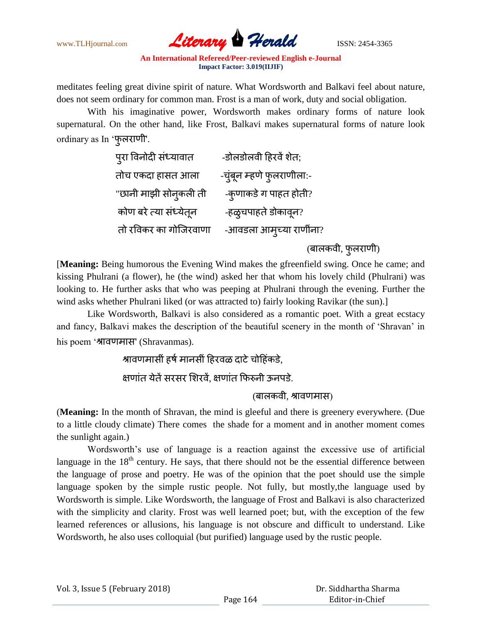

meditates feeling great divine spirit of nature. What Wordsworth and Balkavi feel about nature, does not seem ordinary for common man. Frost is a man of work, duty and social obligation.

 With his imaginative power, Wordsworth makes ordinary forms of nature look supernatural. On the other hand, like Frost, Balkavi makes supernatural forms of nature look ordinary as In 'फूलराणी'.

| पुरा विनोदी संध्यावात  | -डोलडोलवी हिरवें शेत;     |
|------------------------|---------------------------|
| तोच एकदा हासत आला      | -चुंबून म्हणे फुलराणीला:- |
| "छानी माझी सोनुकली ती  | -क़्णाकडे ग पाहत होती?    |
| कोण बरे त्या संध्येतून | -हळुचपाहते डोकावून?       |
| तो रविकर का गोजिरवाणा  | -आवडला आमुच्या राणींना?   |
|                        |                           |

(बालकवी, फुलराणी)

[**Meaning:** Being humorous the Evening Wind makes the gfreenfield swing. Once he came; and kissing Phulrani (a flower), he (the wind) asked her that whom his lovely child (Phulrani) was looking to. He further asks that who was peeping at Phulrani through the evening. Further the wind asks whether Phulrani liked (or was attracted to) fairly looking Ravikar (the sun).]

 Like Wordsworth, Balkavi is also considered as a romantic poet. With a great ecstacy and fancy, Balkavi makes the description of the beautiful scenery in the month of 'Shravan' in his poem 'श्रावणमास' (Shravanmas).

# श्रावणमासीं हर्ष मानसीं हिरवळ दाटे चोहिंकडे,

क्षणांत येतें सरसर शिरवें. क्षणांत फिरुनी ऊनपडे.

### (बालकवी, श्रावणमास)

(**Meaning:** In the month of Shravan, the mind is gleeful and there is greenery everywhere. (Due to a little cloudy climate) There comes the shade for a moment and in another moment comes the sunlight again.)

 Wordsworth's use of language is a reaction against the excessive use of artificial language in the  $18<sup>th</sup>$  century. He says, that there should not be the essential difference between the language of prose and poetry. He was of the opinion that the poet should use the simple language spoken by the simple rustic people. Not fully, but mostly,the language used by Wordsworth is simple. Like Wordsworth, the language of Frost and Balkavi is also characterized with the simplicity and clarity. Frost was well learned poet; but, with the exception of the few learned references or allusions, his language is not obscure and difficult to understand. Like Wordsworth, he also uses colloquial (but purified) language used by the rustic people.